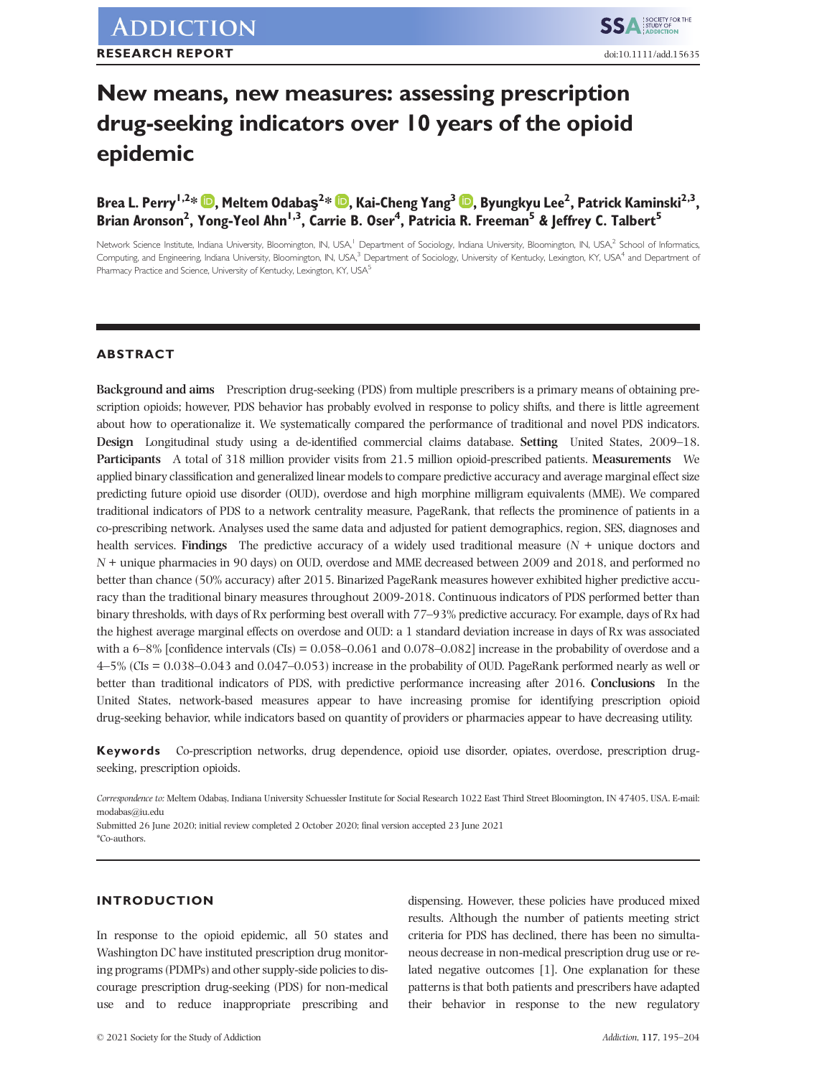# **New means, new measures: assessing prescription drug-seeking indicators over 10 years of the opioid epidemic**

**Brea L. Perry1,2\* , Meltem Odabaş<sup>2</sup> \* [,](https://orcid.org/0000-0001-6123-0676) Kai-Cheng Yang3 [,](https://orcid.org/0000-0003-4627-9273) Byungkyu Lee2 , Patrick Kaminski2,3,** Brian Aronson<sup>2</sup>, Yong-Yeol Ahn<sup>1,3</sup>, Carrie B. Oser<sup>4</sup>, Patricia R. Freeman<sup>5</sup> & Jeffrey C. Talbert<sup>5</sup>

Network Science Institute, Indiana University, Bloomington, IN, USA,<sup>1</sup> Department of Sociology, Indiana University, Bloomington, IN, USA,<sup>2</sup> School of Informatics, Computing, and Engineering, Indiana University, Bloomington, IN, USA,<sup>3</sup> Department of Sociology, University of Kentucky, Lexington, KY, USA<sup>4</sup> and Department of Pharmacy Practice and Science, University of Kentucky, Lexington, KY, USA<sup>5</sup>

# **ABSTRACT**

**Background and aims** Prescription drug-seeking (PDS) from multiple prescribers is a primary means of obtaining prescription opioids; however, PDS behavior has probably evolved in response to policy shifts, and there is little agreement about how to operationalize it. We systematically compared the performance of traditional and novel PDS indicators. **Design** Longitudinal study using a de-identified commercial claims database. **Setting** United States, 2009–18. **Participants** A total of 318 million provider visits from 21.5 million opioid-prescribed patients. **Measurements** We applied binary classification and generalized linear models to compare predictive accuracy and average marginal effect size predicting future opioid use disorder (OUD), overdose and high morphine milligram equivalents (MME). We compared traditional indicators of PDS to a network centrality measure, PageRank, that reflects the prominence of patients in a co-prescribing network. Analyses used the same data and adjusted for patient demographics, region, SES, diagnoses and health services. **Findings** The predictive accuracy of a widely used traditional measure (*N* + unique doctors and *N* + unique pharmacies in 90 days) on OUD, overdose and MME decreased between 2009 and 2018, and performed no better than chance (50% accuracy) after 2015. Binarized PageRank measures however exhibited higher predictive accuracy than the traditional binary measures throughout 2009-2018. Continuous indicators of PDS performed better than binary thresholds, with days of Rx performing best overall with 77–93% predictive accuracy. For example, days of Rx had the highest average marginal effects on overdose and OUD: a 1 standard deviation increase in days of Rx was associated with a 6–8% [confidence intervals (CIs) = 0.058–0.061 and 0.078–0.082] increase in the probability of overdose and a 4–5% (CIs = 0.038–0.043 and 0.047–0.053) increase in the probability of OUD. PageRank performed nearly as well or better than traditional indicators of PDS, with predictive performance increasing after 2016. **Conclusions** In the United States, network-based measures appear to have increasing promise for identifying prescription opioid drug-seeking behavior, while indicators based on quantity of providers or pharmacies appear to have decreasing utility.

**Keywords** Co-prescription networks, drug dependence, opioid use disorder, opiates, overdose, prescription drugseeking, prescription opioids.

*Correspondence to:* Meltem Odabaş, Indiana University Schuessler Institute for Social Research 1022 East Third Street Bloomington, IN 47405, USA. E-mail: [modabas@iu.edu](mailto:modabas@iu.edu)

Submitted 26 June 2020; initial review completed 2 October 2020; final version accepted 23 June 2021 \*Co-authors.

# **INTRODUCTION**

In response to the opioid epidemic, all 50 states and Washington DC have instituted prescription drug monitoring programs (PDMPs) and other supply-side policies to discourage prescription drug-seeking (PDS) for non-medical use and to reduce inappropriate prescribing and

dispensing. However, these policies have produced mixed results. Although the number of patients meeting strict criteria for PDS has declined, there has been no simultaneous decrease in non-medical prescription drug use or related negative outcomes [1]. One explanation for these patterns is that both patients and prescribers have adapted their behavior in response to the new regulatory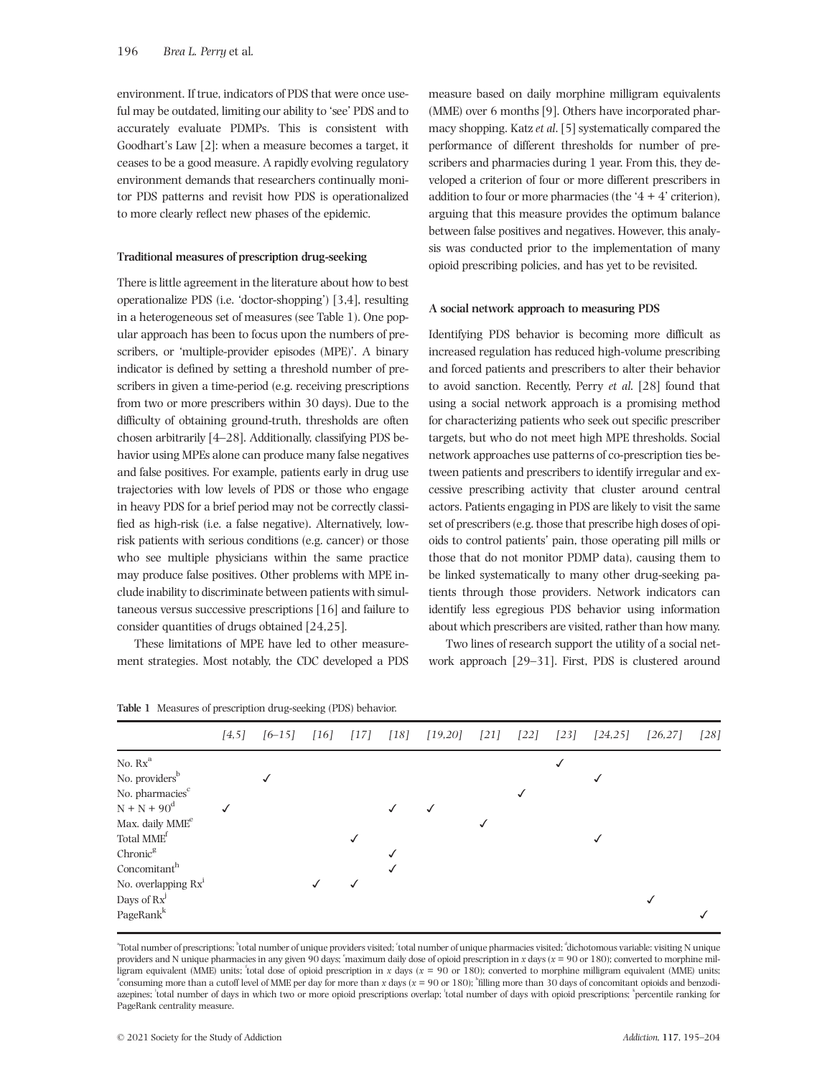environment. If true, indicators of PDS that were once useful may be outdated, limiting our ability to 'see' PDS and to accurately evaluate PDMPs. This is consistent with Goodhart's Law [2]: when a measure becomes a target, it ceases to be a good measure. A rapidly evolving regulatory environment demands that researchers continually monitor PDS patterns and revisit how PDS is operationalized to more clearly reflect new phases of the epidemic.

#### **Traditional measures of prescription drug-seeking**

There is little agreement in the literature about how to best operationalize PDS (i.e. 'doctor-shopping') [3,4], resulting in a heterogeneous set of measures (see Table 1). One popular approach has been to focus upon the numbers of prescribers, or 'multiple-provider episodes (MPE)'. A binary indicator is defined by setting a threshold number of prescribers in given a time-period (e.g. receiving prescriptions from two or more prescribers within 30 days). Due to the difficulty of obtaining ground-truth, thresholds are often chosen arbitrarily [4–28]. Additionally, classifying PDS behavior using MPEs alone can produce many false negatives and false positives. For example, patients early in drug use trajectories with low levels of PDS or those who engage in heavy PDS for a brief period may not be correctly classified as high-risk (i.e. a false negative). Alternatively, lowrisk patients with serious conditions (e.g. cancer) or those who see multiple physicians within the same practice may produce false positives. Other problems with MPE include inability to discriminate between patients with simultaneous versus successive prescriptions [16] and failure to consider quantities of drugs obtained [24,25].

These limitations of MPE have led to other measurement strategies. Most notably, the CDC developed a PDS

measure based on daily morphine milligram equivalents (MME) over 6 months [9]. Others have incorporated pharmacy shopping. Katz *et al*. [5] systematically compared the performance of different thresholds for number of prescribers and pharmacies during 1 year. From this, they developed a criterion of four or more different prescribers in addition to four or more pharmacies (the  $4 + 4$ ' criterion), arguing that this measure provides the optimum balance between false positives and negatives. However, this analysis was conducted prior to the implementation of many opioid prescribing policies, and has yet to be revisited.

#### **A social network approach to measuring PDS**

Identifying PDS behavior is becoming more difficult as increased regulation has reduced high-volume prescribing and forced patients and prescribers to alter their behavior to avoid sanction. Recently, Perry *et al*. [28] found that using a social network approach is a promising method for characterizing patients who seek out specific prescriber targets, but who do not meet high MPE thresholds. Social network approaches use patterns of co-prescription ties between patients and prescribers to identify irregular and excessive prescribing activity that cluster around central actors. Patients engaging in PDS are likely to visit the same set of prescribers (e.g. those that prescribe high doses of opioids to control patients' pain, those operating pill mills or those that do not monitor PDMP data), causing them to be linked systematically to many other drug-seeking patients through those providers. Network indicators can identify less egregious PDS behavior using information about which prescribers are visited, rather than how many.

Two lines of research support the utility of a social network approach [29–31]. First, PDS is clustered around

|                                | [4,5] | $[6 - 15]$ | $\lceil 16 \rceil$ | $[17]$       | [18] | [19,20] | $[21]$ | [22] | $[23]$ | [24, 25] | [26, 27] | $[28]$ |
|--------------------------------|-------|------------|--------------------|--------------|------|---------|--------|------|--------|----------|----------|--------|
| No. $\mathbf{Rx}^{\mathrm{a}}$ |       |            |                    |              |      |         |        |      |        |          |          |        |
| No. providers <sup>b</sup>     |       |            |                    |              |      |         |        |      |        |          |          |        |
| No. pharmacies <sup>c</sup>    |       |            |                    |              |      |         |        |      |        |          |          |        |
| $N + N + 90^{d}$               |       |            |                    |              |      |         |        |      |        |          |          |        |
| Max. daily MME <sup>e</sup>    |       |            |                    |              |      |         |        |      |        |          |          |        |
| Total MME <sup>t</sup>         |       |            |                    | $\checkmark$ |      |         |        |      |        |          |          |        |
| Chronic <sup>g</sup>           |       |            |                    |              |      |         |        |      |        |          |          |        |
| Concomitant <sup>h</sup>       |       |            |                    |              |      |         |        |      |        |          |          |        |
| No. overlapping $Rx^1$         |       |            |                    |              |      |         |        |      |        |          |          |        |
| Days of $Rx^J$                 |       |            |                    |              |      |         |        |      |        |          |          |        |
| PageRank <sup>k</sup>          |       |            |                    |              |      |         |        |      |        |          |          |        |

**Table 1** Measures of prescription drug-seeking (PDS) behavior.

"Total number of prescriptions; "total number of unique providers visited; "total number of unique pharmacies visited; "dichotomous variable: visiting N unique providers and N unique pharmacies in any given 90 days; "maximum daily dose of opioid prescription in *x* days (*x* = 90 or 180); converted to morphine milligram equivalent (MME) units; total dose of opioid prescription in *x* days (*x* = 90 or 180); converted to morphine milligram equivalent (MME) units; consuming more than a cutoff level of MME per day for more than *x* days (*x* = 90 or 180); "filling more than 30 days of concomitant opioids and benzodiazepines; 'total number of days in which two or more opioid prescriptions overlap; 'total number of days with opioid prescriptions; "percentile ranking for PageRank centrality measure.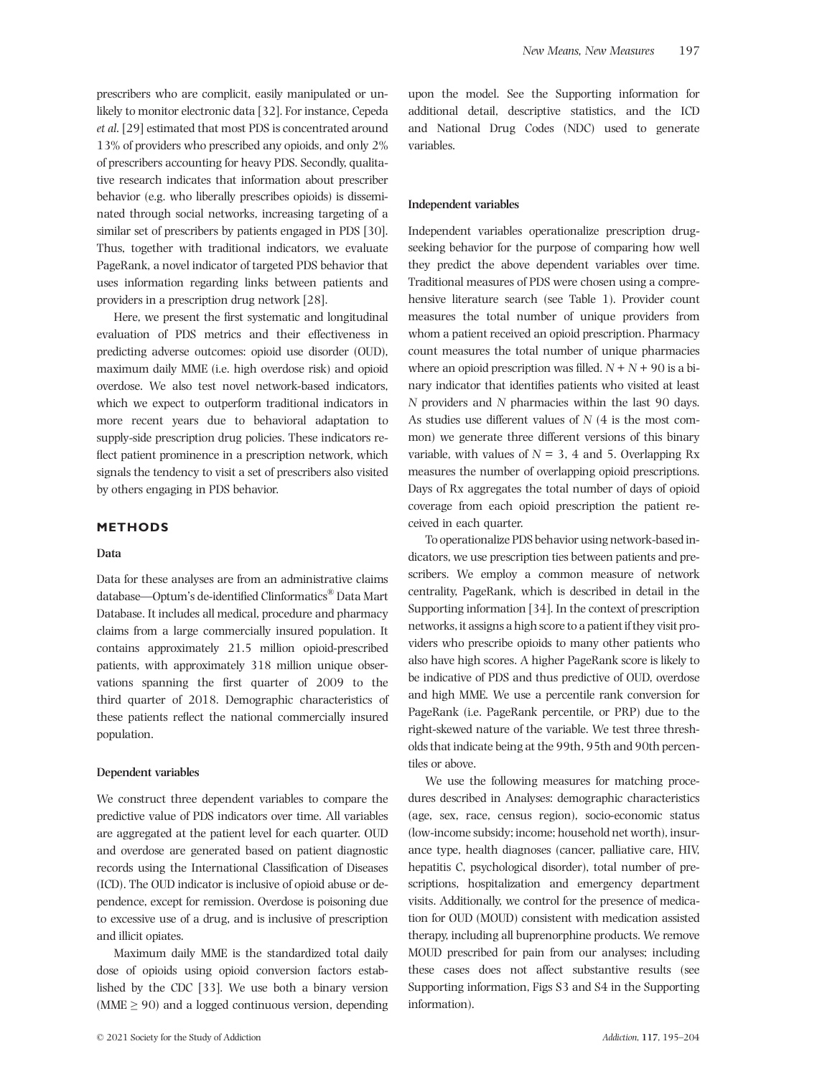prescribers who are complicit, easily manipulated or unlikely to monitor electronic data [32]. For instance, Cepeda *et al*. [29] estimated that most PDS is concentrated around 13% of providers who prescribed any opioids, and only 2% of prescribers accounting for heavy PDS. Secondly, qualitative research indicates that information about prescriber behavior (e.g. who liberally prescribes opioids) is disseminated through social networks, increasing targeting of a similar set of prescribers by patients engaged in PDS [30]. Thus, together with traditional indicators, we evaluate PageRank, a novel indicator of targeted PDS behavior that uses information regarding links between patients and providers in a prescription drug network [28].

Here, we present the first systematic and longitudinal evaluation of PDS metrics and their effectiveness in predicting adverse outcomes: opioid use disorder (OUD), maximum daily MME (i.e. high overdose risk) and opioid overdose. We also test novel network-based indicators, which we expect to outperform traditional indicators in more recent years due to behavioral adaptation to supply-side prescription drug policies. These indicators reflect patient prominence in a prescription network, which signals the tendency to visit a set of prescribers also visited by others engaging in PDS behavior.

# **METHODS**

## **Data**

Data for these analyses are from an administrative claims database—Optum's de-identified Clinformatics® Data Mart Database. It includes all medical, procedure and pharmacy claims from a large commercially insured population. It contains approximately 21.5 million opioid-prescribed patients, with approximately 318 million unique observations spanning the first quarter of 2009 to the third quarter of 2018. Demographic characteristics of these patients reflect the national commercially insured population.

## **Dependent variables**

We construct three dependent variables to compare the predictive value of PDS indicators over time. All variables are aggregated at the patient level for each quarter. OUD and overdose are generated based on patient diagnostic records using the International Classification of Diseases (ICD). The OUD indicator is inclusive of opioid abuse or dependence, except for remission. Overdose is poisoning due to excessive use of a drug, and is inclusive of prescription and illicit opiates.

Maximum daily MME is the standardized total daily dose of opioids using opioid conversion factors established by the CDC [33]. We use both a binary version  $(MME \geq 90)$  and a logged continuous version, depending

upon the model. See the Supporting information for additional detail, descriptive statistics, and the ICD and National Drug Codes (NDC) used to generate variables.

#### **Independent variables**

Independent variables operationalize prescription drugseeking behavior for the purpose of comparing how well they predict the above dependent variables over time. Traditional measures of PDS were chosen using a comprehensive literature search (see Table 1). Provider count measures the total number of unique providers from whom a patient received an opioid prescription. Pharmacy count measures the total number of unique pharmacies where an opioid prescription was filled.  $N + N + 90$  is a binary indicator that identifies patients who visited at least *N* providers and *N* pharmacies within the last 90 days. As studies use different values of *N* (4 is the most common) we generate three different versions of this binary variable, with values of  $N = 3$ , 4 and 5. Overlapping Rx measures the number of overlapping opioid prescriptions. Days of Rx aggregates the total number of days of opioid coverage from each opioid prescription the patient received in each quarter.

To operationalize PDS behavior using network-based indicators, we use prescription ties between patients and prescribers. We employ a common measure of network centrality, PageRank, which is described in detail in the Supporting information [34]. In the context of prescription networks, it assigns a high score to a patient if they visit providers who prescribe opioids to many other patients who also have high scores. A higher PageRank score is likely to be indicative of PDS and thus predictive of OUD, overdose and high MME. We use a percentile rank conversion for PageRank (i.e. PageRank percentile, or PRP) due to the right-skewed nature of the variable. We test three thresholds that indicate being at the 99th, 95th and 90th percentiles or above.

We use the following measures for matching procedures described in Analyses: demographic characteristics (age, sex, race, census region), socio-economic status (low-income subsidy; income; household net worth), insurance type, health diagnoses (cancer, palliative care, HIV, hepatitis C, psychological disorder), total number of prescriptions, hospitalization and emergency department visits. Additionally, we control for the presence of medication for OUD (MOUD) consistent with medication assisted therapy, including all buprenorphine products. We remove MOUD prescribed for pain from our analyses; including these cases does not affect substantive results (see Supporting information, Figs S3 and S4 in the Supporting information).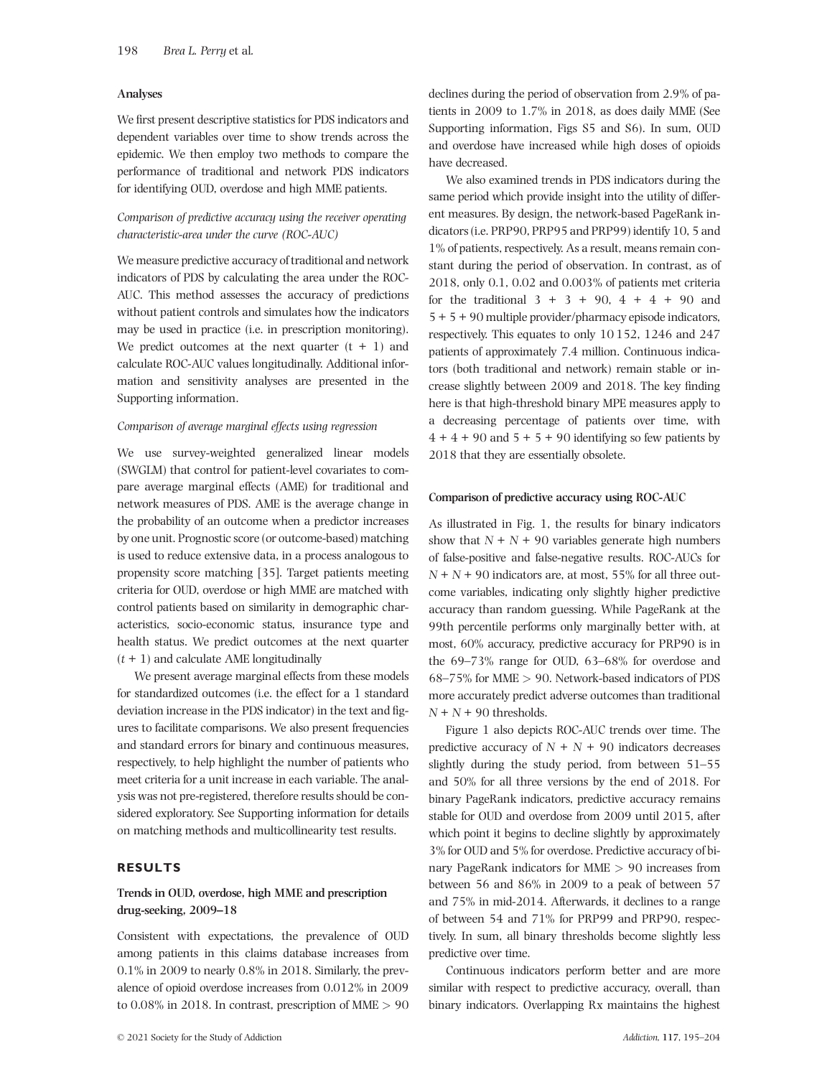## **Analyses**

We first present descriptive statistics for PDS indicators and dependent variables over time to show trends across the epidemic. We then employ two methods to compare the performance of traditional and network PDS indicators for identifying OUD, overdose and high MME patients.

# *Comparison of predictive accuracy using the receiver operating characteristic-area under the curve (ROC-AUC)*

We measure predictive accuracy of traditional and network indicators of PDS by calculating the area under the ROC-AUC. This method assesses the accuracy of predictions without patient controls and simulates how the indicators may be used in practice (i.e. in prescription monitoring). We predict outcomes at the next quarter  $(t + 1)$  and calculate ROC-AUC values longitudinally. Additional information and sensitivity analyses are presented in the Supporting information.

## *Comparison of average marginal effects using regression*

We use survey-weighted generalized linear models (SWGLM) that control for patient-level covariates to compare average marginal effects (AME) for traditional and network measures of PDS. AME is the average change in the probability of an outcome when a predictor increases by one unit. Prognostic score (or outcome-based) matching is used to reduce extensive data, in a process analogous to propensity score matching [35]. Target patients meeting criteria for OUD, overdose or high MME are matched with control patients based on similarity in demographic characteristics, socio-economic status, insurance type and health status. We predict outcomes at the next quarter  $(t + 1)$  and calculate AME longitudinally

We present average marginal effects from these models for standardized outcomes (i.e. the effect for a 1 standard deviation increase in the PDS indicator) in the text and figures to facilitate comparisons. We also present frequencies and standard errors for binary and continuous measures, respectively, to help highlight the number of patients who meet criteria for a unit increase in each variable. The analysis was not pre-registered, therefore results should be considered exploratory. See Supporting information for details on matching methods and multicollinearity test results.

## **RESULTS**

# **Trends in OUD, overdose, high MME and prescription drug-seeking, 2009–18**

Consistent with expectations, the prevalence of OUD among patients in this claims database increases from 0.1% in 2009 to nearly 0.8% in 2018. Similarly, the prevalence of opioid overdose increases from 0.012% in 2009 to 0.08% in 2018. In contrast, prescription of MME *>* 90 declines during the period of observation from 2.9% of patients in 2009 to 1.7% in 2018, as does daily MME (See Supporting information, Figs S5 and S6). In sum, OUD and overdose have increased while high doses of opioids have decreased.

We also examined trends in PDS indicators during the same period which provide insight into the utility of different measures. By design, the network-based PageRank indicators (i.e. PRP90, PRP95 and PRP99) identify 10, 5 and 1% of patients, respectively. As a result, means remain constant during the period of observation. In contrast, as of 2018, only 0.1, 0.02 and 0.003% of patients met criteria for the traditional  $3 + 3 + 90$ ,  $4 + 4 + 90$  and 5 + 5 + 90 multiple provider/pharmacy episode indicators, respectively. This equates to only 10 152, 1246 and 247 patients of approximately 7.4 million. Continuous indicators (both traditional and network) remain stable or increase slightly between 2009 and 2018. The key finding here is that high-threshold binary MPE measures apply to a decreasing percentage of patients over time, with  $4 + 4 + 90$  and  $5 + 5 + 90$  identifying so few patients by 2018 that they are essentially obsolete.

#### **Comparison of predictive accuracy using ROC-AUC**

As illustrated in Fig. 1, the results for binary indicators show that  $N + N + 90$  variables generate high numbers of false-positive and false-negative results. ROC-AUCs for  $N + N + 90$  indicators are, at most, 55% for all three outcome variables, indicating only slightly higher predictive accuracy than random guessing. While PageRank at the 99th percentile performs only marginally better with, at most, 60% accuracy, predictive accuracy for PRP90 is in the 69–73% range for OUD, 63–68% for overdose and 68–75% for MME *>* 90. Network-based indicators of PDS more accurately predict adverse outcomes than traditional *N* + *N* + 90 thresholds.

Figure 1 also depicts ROC-AUC trends over time. The predictive accuracy of  $N + N + 90$  indicators decreases slightly during the study period, from between 51–55 and 50% for all three versions by the end of 2018. For binary PageRank indicators, predictive accuracy remains stable for OUD and overdose from 2009 until 2015, after which point it begins to decline slightly by approximately 3% for OUD and 5% for overdose. Predictive accuracy of binary PageRank indicators for MME *>* 90 increases from between 56 and 86% in 2009 to a peak of between 57 and 75% in mid-2014. Afterwards, it declines to a range of between 54 and 71% for PRP99 and PRP90, respectively. In sum, all binary thresholds become slightly less predictive over time.

Continuous indicators perform better and are more similar with respect to predictive accuracy, overall, than binary indicators. Overlapping Rx maintains the highest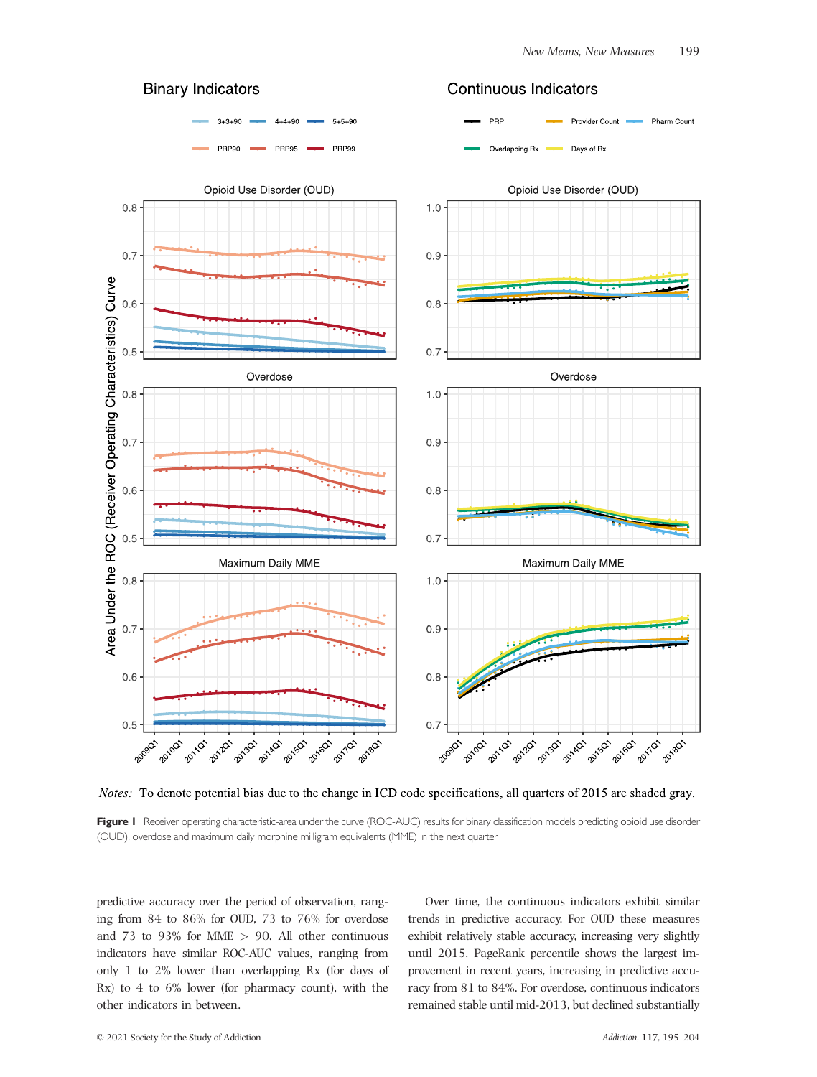

**Continuous Indicators** 



Notes: To denote potential bias due to the change in ICD code specifications, all quarters of 2015 are shaded gray.

Figure 1 Receiver operating characteristic-area under the curve (ROC-AUC) results for binary classification models predicting opioid use disorder (OUD), overdose and maximum daily morphine milligram equivalents (MME) in the next quarter

predictive accuracy over the period of observation, ranging from 84 to 86% for OUD, 73 to 76% for overdose and 73 to 93% for MME *>* 90. All other continuous indicators have similar ROC-AUC values, ranging from only 1 to 2% lower than overlapping Rx (for days of Rx) to 4 to 6% lower (for pharmacy count), with the other indicators in between.

Over time, the continuous indicators exhibit similar trends in predictive accuracy. For OUD these measures exhibit relatively stable accuracy, increasing very slightly until 2015. PageRank percentile shows the largest improvement in recent years, increasing in predictive accuracy from 81 to 84%. For overdose, continuous indicators remained stable until mid-2013, but declined substantially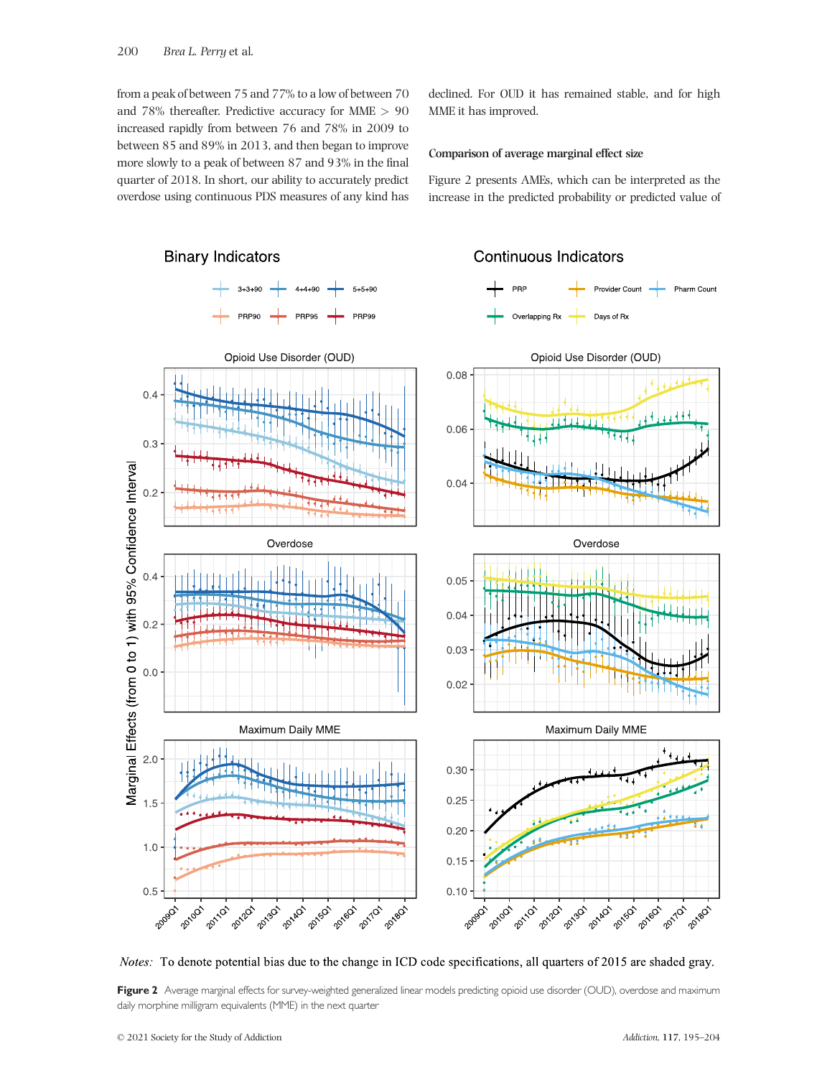from a peak of between 75 and 77% to a low of between 70 and 78% thereafter. Predictive accuracy for MME *>* 90 increased rapidly from between 76 and 78% in 2009 to between 85 and 89% in 2013, and then began to improve more slowly to a peak of between 87 and 93% in the final quarter of 2018. In short, our ability to accurately predict overdose using continuous PDS measures of any kind has

declined. For OUD it has remained stable, and for high MME it has improved.

# **Comparison of average marginal effect size**

Figure 2 presents AMEs, which can be interpreted as the increase in the predicted probability or predicted value of



*Notes:* To denote potential bias due to the change in ICD code specifications, all quarters of 2015 are shaded gray.

Figure 2 Average marginal effects for survey-weighted generalized linear models predicting opioid use disorder (OUD), overdose and maximum daily morphine milligram equivalents (MME) in the next quarter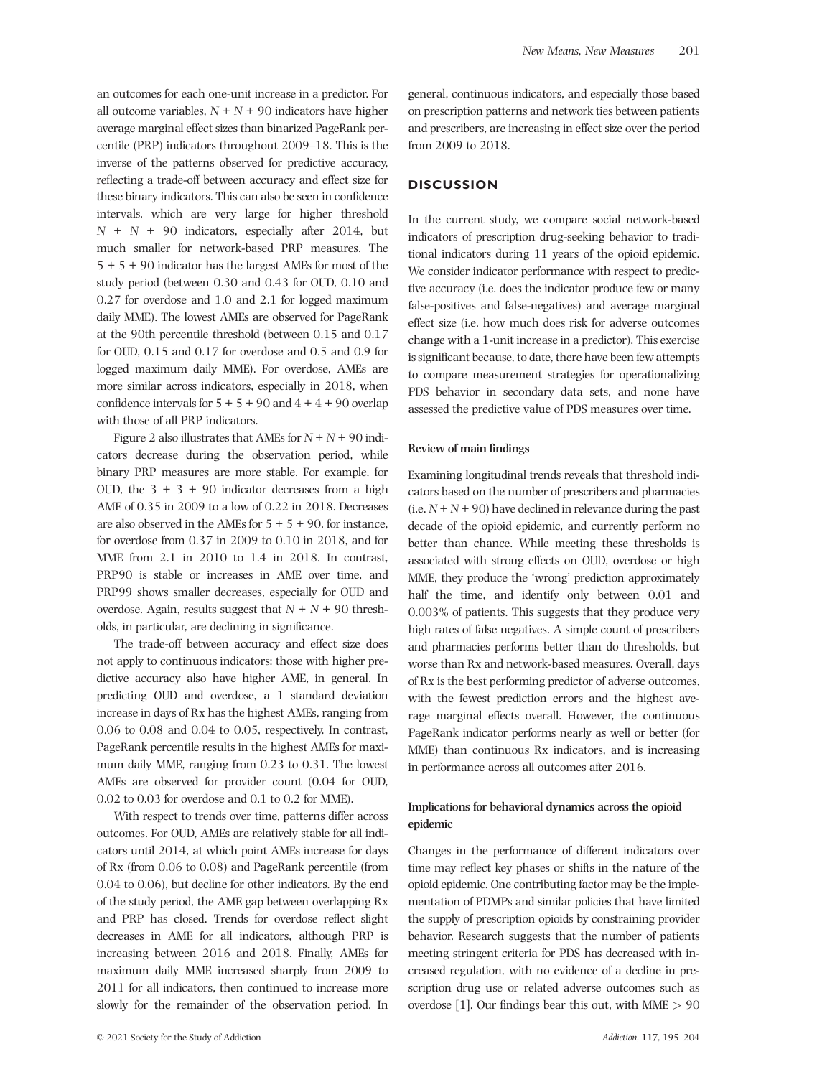an outcomes for each one-unit increase in a predictor. For all outcome variables,  $N + N + 90$  indicators have higher average marginal effect sizes than binarized PageRank percentile (PRP) indicators throughout 2009–18. This is the inverse of the patterns observed for predictive accuracy, reflecting a trade-off between accuracy and effect size for these binary indicators. This can also be seen in confidence intervals, which are very large for higher threshold *N* + *N* + 90 indicators, especially after 2014, but much smaller for network-based PRP measures. The 5 + 5 + 90 indicator has the largest AMEs for most of the study period (between 0.30 and 0.43 for OUD, 0.10 and 0.27 for overdose and 1.0 and 2.1 for logged maximum daily MME). The lowest AMEs are observed for PageRank at the 90th percentile threshold (between 0.15 and 0.17 for OUD, 0.15 and 0.17 for overdose and 0.5 and 0.9 for logged maximum daily MME). For overdose, AMEs are more similar across indicators, especially in 2018, when confidence intervals for  $5 + 5 + 90$  and  $4 + 4 + 90$  overlap with those of all PRP indicators.

Figure 2 also illustrates that AMEs for  $N + N + 90$  indicators decrease during the observation period, while binary PRP measures are more stable. For example, for OUD, the  $3 + 3 + 90$  indicator decreases from a high AME of 0.35 in 2009 to a low of 0.22 in 2018. Decreases are also observed in the AMEs for  $5 + 5 + 90$ , for instance, for overdose from 0.37 in 2009 to 0.10 in 2018, and for MME from 2.1 in 2010 to 1.4 in 2018. In contrast, PRP90 is stable or increases in AME over time, and PRP99 shows smaller decreases, especially for OUD and overdose. Again, results suggest that  $N + N + 90$  thresholds, in particular, are declining in significance.

The trade-off between accuracy and effect size does not apply to continuous indicators: those with higher predictive accuracy also have higher AME, in general. In predicting OUD and overdose, a 1 standard deviation increase in days of Rx has the highest AMEs, ranging from 0.06 to 0.08 and 0.04 to 0.05, respectively. In contrast, PageRank percentile results in the highest AMEs for maximum daily MME, ranging from 0.23 to 0.31. The lowest AMEs are observed for provider count (0.04 for OUD, 0.02 to 0.03 for overdose and 0.1 to 0.2 for MME).

With respect to trends over time, patterns differ across outcomes. For OUD, AMEs are relatively stable for all indicators until 2014, at which point AMEs increase for days of Rx (from 0.06 to 0.08) and PageRank percentile (from 0.04 to 0.06), but decline for other indicators. By the end of the study period, the AME gap between overlapping Rx and PRP has closed. Trends for overdose reflect slight decreases in AME for all indicators, although PRP is increasing between 2016 and 2018. Finally, AMEs for maximum daily MME increased sharply from 2009 to 2011 for all indicators, then continued to increase more slowly for the remainder of the observation period. In

general, continuous indicators, and especially those based on prescription patterns and network ties between patients and prescribers, are increasing in effect size over the period from 2009 to 2018.

## **DISCUSSION**

In the current study, we compare social network-based indicators of prescription drug-seeking behavior to traditional indicators during 11 years of the opioid epidemic. We consider indicator performance with respect to predictive accuracy (i.e. does the indicator produce few or many false-positives and false-negatives) and average marginal effect size (i.e. how much does risk for adverse outcomes change with a 1-unit increase in a predictor). This exercise is significant because, to date, there have been few attempts to compare measurement strategies for operationalizing PDS behavior in secondary data sets, and none have assessed the predictive value of PDS measures over time.

#### **Review of main findings**

Examining longitudinal trends reveals that threshold indicators based on the number of prescribers and pharmacies  $(i.e. N + N + 90)$  have declined in relevance during the past decade of the opioid epidemic, and currently perform no better than chance. While meeting these thresholds is associated with strong effects on OUD, overdose or high MME, they produce the 'wrong' prediction approximately half the time, and identify only between 0.01 and 0.003% of patients. This suggests that they produce very high rates of false negatives. A simple count of prescribers and pharmacies performs better than do thresholds, but worse than Rx and network-based measures. Overall, days of Rx is the best performing predictor of adverse outcomes, with the fewest prediction errors and the highest average marginal effects overall. However, the continuous PageRank indicator performs nearly as well or better (for MME) than continuous Rx indicators, and is increasing in performance across all outcomes after 2016.

# **Implications for behavioral dynamics across the opioid epidemic**

Changes in the performance of different indicators over time may reflect key phases or shifts in the nature of the opioid epidemic. One contributing factor may be the implementation of PDMPs and similar policies that have limited the supply of prescription opioids by constraining provider behavior. Research suggests that the number of patients meeting stringent criteria for PDS has decreased with increased regulation, with no evidence of a decline in prescription drug use or related adverse outcomes such as overdose [1]. Our findings bear this out, with MME *>* 90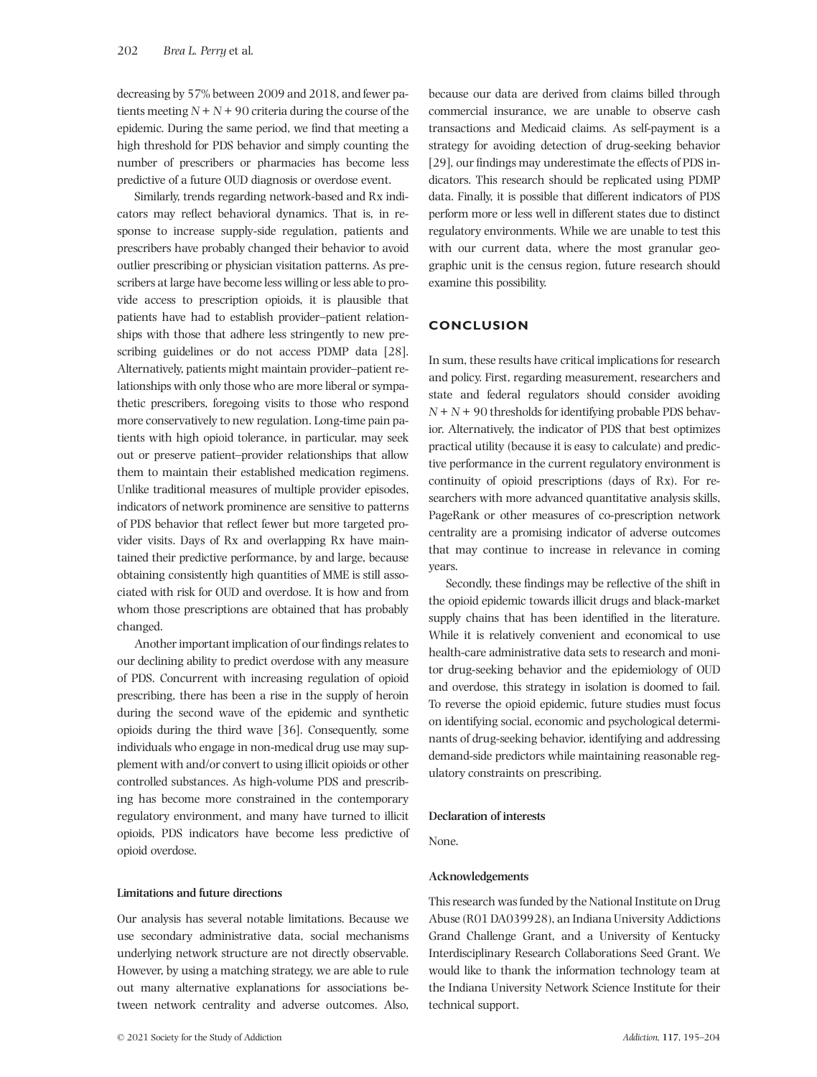decreasing by 57% between 2009 and 2018, and fewer patients meeting  $N + N + 90$  criteria during the course of the epidemic. During the same period, we find that meeting a high threshold for PDS behavior and simply counting the number of prescribers or pharmacies has become less predictive of a future OUD diagnosis or overdose event.

Similarly, trends regarding network-based and Rx indicators may reflect behavioral dynamics. That is, in response to increase supply-side regulation, patients and prescribers have probably changed their behavior to avoid outlier prescribing or physician visitation patterns. As prescribers at large have become less willing or less able to provide access to prescription opioids, it is plausible that patients have had to establish provider–patient relationships with those that adhere less stringently to new prescribing guidelines or do not access PDMP data [28]. Alternatively, patients might maintain provider–patient relationships with only those who are more liberal or sympathetic prescribers, foregoing visits to those who respond more conservatively to new regulation. Long-time pain patients with high opioid tolerance, in particular, may seek out or preserve patient–provider relationships that allow them to maintain their established medication regimens. Unlike traditional measures of multiple provider episodes, indicators of network prominence are sensitive to patterns of PDS behavior that reflect fewer but more targeted provider visits. Days of Rx and overlapping Rx have maintained their predictive performance, by and large, because obtaining consistently high quantities of MME is still associated with risk for OUD and overdose. It is how and from whom those prescriptions are obtained that has probably changed.

Another important implication of our findings relates to our declining ability to predict overdose with any measure of PDS. Concurrent with increasing regulation of opioid prescribing, there has been a rise in the supply of heroin during the second wave of the epidemic and synthetic opioids during the third wave [36]. Consequently, some individuals who engage in non-medical drug use may supplement with and/or convert to using illicit opioids or other controlled substances. As high-volume PDS and prescribing has become more constrained in the contemporary regulatory environment, and many have turned to illicit opioids, PDS indicators have become less predictive of opioid overdose.

**Limitations and future directions**

Our analysis has several notable limitations. Because we use secondary administrative data, social mechanisms underlying network structure are not directly observable. However, by using a matching strategy, we are able to rule out many alternative explanations for associations between network centrality and adverse outcomes. Also, because our data are derived from claims billed through commercial insurance, we are unable to observe cash transactions and Medicaid claims. As self-payment is a strategy for avoiding detection of drug-seeking behavior [29], our findings may underestimate the effects of PDS indicators. This research should be replicated using PDMP data. Finally, it is possible that different indicators of PDS perform more or less well in different states due to distinct regulatory environments. While we are unable to test this with our current data, where the most granular geographic unit is the census region, future research should examine this possibility.

#### **CONCLUSION**

In sum, these results have critical implications for research and policy. First, regarding measurement, researchers and state and federal regulators should consider avoiding  $N + N + 90$  thresholds for identifying probable PDS behavior. Alternatively, the indicator of PDS that best optimizes practical utility (because it is easy to calculate) and predictive performance in the current regulatory environment is continuity of opioid prescriptions (days of Rx). For researchers with more advanced quantitative analysis skills, PageRank or other measures of co-prescription network centrality are a promising indicator of adverse outcomes that may continue to increase in relevance in coming years.

Secondly, these findings may be reflective of the shift in the opioid epidemic towards illicit drugs and black-market supply chains that has been identified in the literature. While it is relatively convenient and economical to use health-care administrative data sets to research and monitor drug-seeking behavior and the epidemiology of OUD and overdose, this strategy in isolation is doomed to fail. To reverse the opioid epidemic, future studies must focus on identifying social, economic and psychological determinants of drug-seeking behavior, identifying and addressing demand-side predictors while maintaining reasonable regulatory constraints on prescribing.

## **Declaration of interests**

None.

## **Acknowledgements**

This research was funded by the National Institute on Drug Abuse (R01 DA039928), an Indiana University Addictions Grand Challenge Grant, and a University of Kentucky Interdisciplinary Research Collaborations Seed Grant. We would like to thank the information technology team at the Indiana University Network Science Institute for their technical support.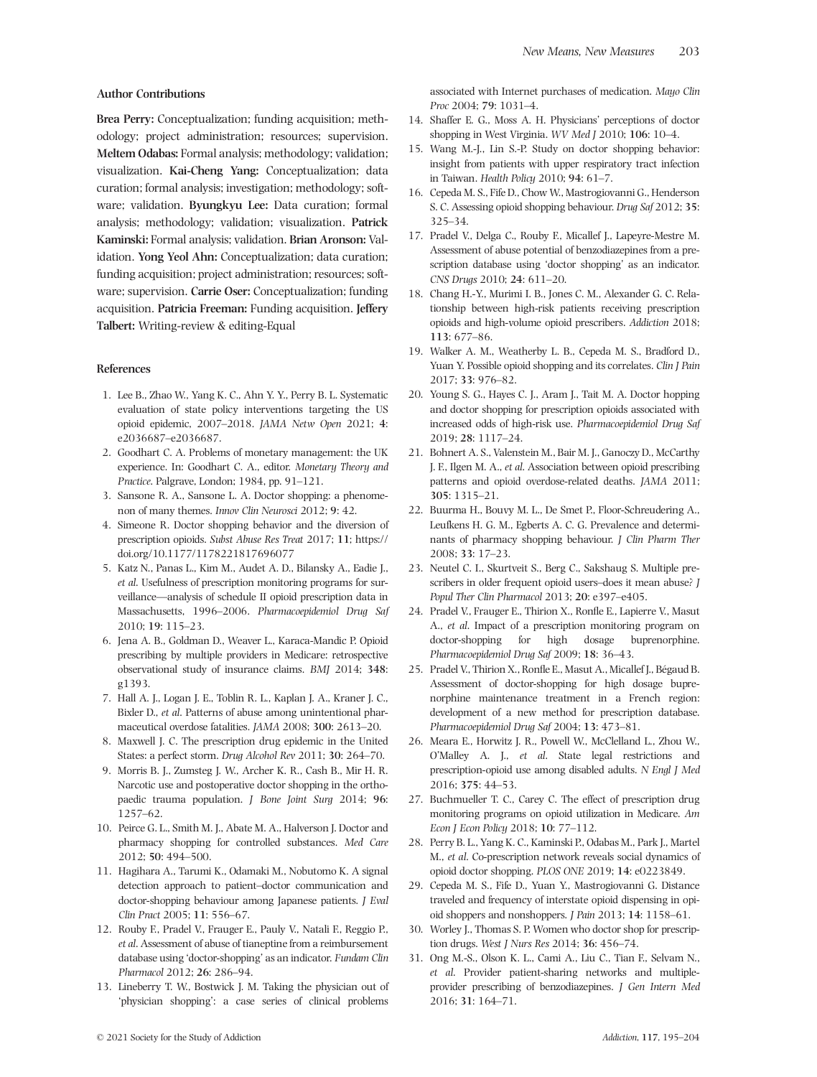#### **Author Contributions**

**Brea Perry:** Conceptualization; funding acquisition; methodology; project administration; resources; supervision. **Meltem Odabas:** Formal analysis; methodology; validation; visualization. **Kai-Cheng Yang:** Conceptualization; data curation; formal analysis; investigation; methodology; software; validation. **Byungkyu Lee:** Data curation; formal analysis; methodology; validation; visualization. **Patrick Kaminski:** Formal analysis; validation. **Brian Aronson:** Validation. **Yong Yeol Ahn:** Conceptualization; data curation; funding acquisition; project administration; resources; software; supervision. **Carrie Oser:** Conceptualization; funding acquisition. **Patricia Freeman:** Funding acquisition. **Jeffery Talbert:** Writing-review & editing-Equal

#### **References**

- 1. Lee B., Zhao W., Yang K. C., Ahn Y. Y., Perry B. L. Systematic evaluation of state policy interventions targeting the US opioid epidemic, 2007–2018. *JAMA Netw Open* 2021; **4**: e2036687–e2036687.
- 2. Goodhart C. A. Problems of monetary management: the UK experience. In: Goodhart C. A., editor. *Monetary Theory and Practice*. Palgrave, London; 1984, pp. 91–121.
- 3. Sansone R. A., Sansone L. A. Doctor shopping: a phenomenon of many themes. *Innov Clin Neurosci* 2012; **9**: 42.
- 4. Simeone R. Doctor shopping behavior and the diversion of prescription opioids. *Subst Abuse Res Treat* 2017; **11**; [https://](https://doi.org/10.1177/1178221817696077) [doi.org/10.1177/1178221817696077](https://doi.org/10.1177/1178221817696077)
- 5. Katz N., Panas L., Kim M., Audet A. D., Bilansky A., Eadie J., *et al*. Usefulness of prescription monitoring programs for surveillance—analysis of schedule II opioid prescription data in Massachusetts, 1996–2006. *Pharmacoepidemiol Drug Saf* 2010; **19**: 115–23.
- 6. Jena A. B., Goldman D., Weaver L., Karaca-Mandic P. Opioid prescribing by multiple providers in Medicare: retrospective observational study of insurance claims. *BMJ* 2014; **348**: g1393.
- 7. Hall A. J., Logan J. E., Toblin R. L., Kaplan J. A., Kraner J. C., Bixler D., *et al*. Patterns of abuse among unintentional pharmaceutical overdose fatalities. *JAMA* 2008; **300**: 2613–20.
- 8. Maxwell J. C. The prescription drug epidemic in the United States: a perfect storm. *Drug Alcohol Rev* 2011; **30**: 264–70.
- 9. Morris B. J., Zumsteg J. W., Archer K. R., Cash B., Mir H. R. Narcotic use and postoperative doctor shopping in the orthopaedic trauma population. *J Bone Joint Surg* 2014; **96**: 1257–62.
- 10. Peirce G. L., Smith M. J., Abate M. A., Halverson J. Doctor and pharmacy shopping for controlled substances. *Med Care* 2012; **50**: 494–500.
- 11. Hagihara A., Tarumi K., Odamaki M., Nobutomo K. A signal detection approach to patient–doctor communication and doctor-shopping behaviour among Japanese patients. *J Eval Clin Pract* 2005; **11**: 556–67.
- 12. Rouby F., Pradel V., Frauger E., Pauly V., Natali F., Reggio P., *et al*. Assessment of abuse of tianeptine from a reimbursement database using 'doctor-shopping' as an indicator. *Fundam Clin Pharmacol* 2012; **26**: 286–94.
- 13. Lineberry T. W., Bostwick J. M. Taking the physician out of 'physician shopping': a case series of clinical problems

associated with Internet purchases of medication. *Mayo Clin Proc* 2004; **79**: 1031–4.

- 14. Shaffer E. G., Moss A. H. Physicians' perceptions of doctor shopping in West Virginia. *WV Med J* 2010; **106**: 10–4.
- 15. Wang M.-J., Lin S.-P. Study on doctor shopping behavior: insight from patients with upper respiratory tract infection in Taiwan. *Health Policy* 2010; **94**: 61–7.
- 16. Cepeda M. S., Fife D., Chow W., Mastrogiovanni G., Henderson S. C. Assessing opioid shopping behaviour. *Drug Saf* 2012; **35**: 325–34.
- 17. Pradel V., Delga C., Rouby F., Micallef J., Lapeyre-Mestre M. Assessment of abuse potential of benzodiazepines from a prescription database using 'doctor shopping' as an indicator. *CNS Drugs* 2010; **24**: 611–20.
- 18. Chang H.-Y., Murimi I. B., Jones C. M., Alexander G. C. Relationship between high-risk patients receiving prescription opioids and high-volume opioid prescribers. *Addiction* 2018; **113**: 677–86.
- 19. Walker A. M., Weatherby L. B., Cepeda M. S., Bradford D., Yuan Y. Possible opioid shopping and its correlates. *Clin J Pain* 2017; **33**: 976–82.
- 20. Young S. G., Hayes C. J., Aram J., Tait M. A. Doctor hopping and doctor shopping for prescription opioids associated with increased odds of high-risk use. *Pharmacoepidemiol Drug Saf* 2019; **28**: 1117–24.
- 21. Bohnert A. S., Valenstein M., Bair M. J., Ganoczy D., McCarthy J. F., Ilgen M. A., *et al*. Association between opioid prescribing patterns and opioid overdose-related deaths. *JAMA* 2011; **305**: 1315–21.
- 22. Buurma H., Bouvy M. L., De Smet P., Floor-Schreudering A., Leufkens H. G. M., Egberts A. C. G. Prevalence and determinants of pharmacy shopping behaviour. *J Clin Pharm Ther* 2008; **33**: 17–23.
- 23. Neutel C. I., Skurtveit S., Berg C., Sakshaug S. Multiple prescribers in older frequent opioid users–does it mean abuse? *J Popul Ther Clin Pharmacol* 2013; **20**: e397–e405.
- 24. Pradel V., Frauger E., Thirion X., Ronfle E., Lapierre V., Masut A., *et al*. Impact of a prescription monitoring program on doctor-shopping for high dosage buprenorphine. *Pharmacoepidemiol Drug Saf* 2009; **18**: 36–43.
- 25. Pradel V., Thirion X., Ronfle E., Masut A., Micallef J., Bégaud B. Assessment of doctor-shopping for high dosage buprenorphine maintenance treatment in a French region: development of a new method for prescription database. *Pharmacoepidemiol Drug Saf* 2004; **13**: 473–81.
- 26. Meara E., Horwitz J. R., Powell W., McClelland L., Zhou W., O'Malley A. J., *et al*. State legal restrictions and prescription-opioid use among disabled adults. *N Engl J Med* 2016; **375**: 44–53.
- 27. Buchmueller T. C., Carey C. The effect of prescription drug monitoring programs on opioid utilization in Medicare. *Am Econ J Econ Policy* 2018; **10**: 77–112.
- 28. Perry B. L., Yang K. C., Kaminski P., Odabas M., Park J., Martel M., *et al*. Co-prescription network reveals social dynamics of opioid doctor shopping. *PLOS ONE* 2019; **14**: e0223849.
- 29. Cepeda M. S., Fife D., Yuan Y., Mastrogiovanni G. Distance traveled and frequency of interstate opioid dispensing in opioid shoppers and nonshoppers. *J Pain* 2013; **14**: 1158–61.
- 30. Worley J., Thomas S. P. Women who doctor shop for prescription drugs. *West J Nurs Res* 2014; **36**: 456–74.
- 31. Ong M.-S., Olson K. L., Cami A., Liu C., Tian F., Selvam N., *et al*. Provider patient-sharing networks and multipleprovider prescribing of benzodiazepines. *J Gen Intern Med* 2016; **31**: 164–71.